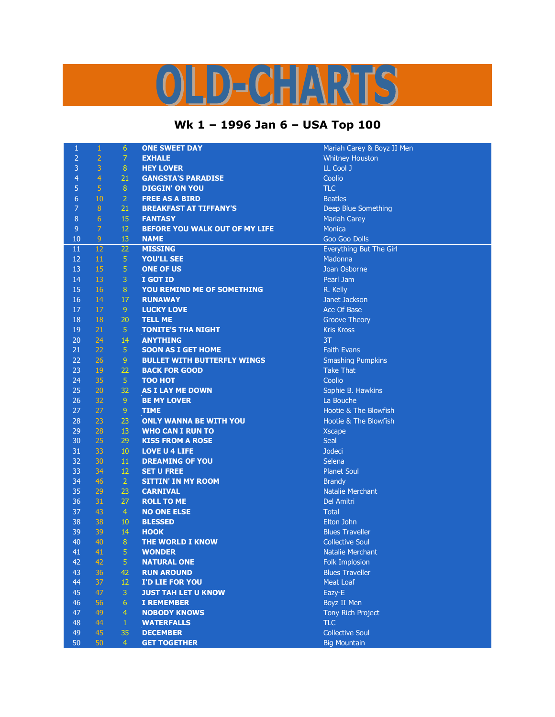## OLD-CHARTS

## **Wk 1 – 1996 Jan 6 – USA Top 100**

1 Carey & Boyz II Men

| $\mathbf{1}$   | $\mathbf{1}$   | $6\phantom{1}$   | <b>ONE SWEET DAY</b>               | Mariah Carey & Boyz II   |
|----------------|----------------|------------------|------------------------------------|--------------------------|
| $\overline{2}$ | $\overline{2}$ | $\overline{7}$   | <b>EXHALE</b>                      | <b>Whitney Houston</b>   |
| 3              | 3              | $\bf 8$          | <b>HEY LOVER</b>                   | LL Cool J                |
| $\overline{4}$ | $\overline{4}$ | 21               | <b>GANGSTA'S PARADISE</b>          | Coolio                   |
| 5              | 5              | $\, 8$           | <b>DIGGIN' ON YOU</b>              | <b>TLC</b>               |
| $\overline{6}$ | 10             | $\overline{2}$   | <b>FREE AS A BIRD</b>              | <b>Beatles</b>           |
| $\overline{7}$ | $\bf 8$        | 21               | <b>BREAKFAST AT TIFFANY'S</b>      | Deep Blue Something      |
| 8              | $6\phantom{1}$ | 15               | <b>FANTASY</b>                     | <b>Mariah Carey</b>      |
| $\overline{9}$ | $\overline{7}$ | 12               | BEFORE YOU WALK OUT OF MY LIFE     | <b>Monica</b>            |
| 10             | $\overline{9}$ | 13               | <b>NAME</b>                        | Goo Goo Dolls            |
| 11             | 12             | 22               | <b>MISSING</b>                     | Everything But The Girl  |
| 12             | 11             | $\overline{5}$   | <b>YOU'LL SEE</b>                  | Madonna                  |
| 13             | 15             | 5                | <b>ONE OF US</b>                   | Joan Osborne             |
| 14             | 13             | $\overline{3}$   | I GOT ID                           | Pearl Jam                |
| 15             | 16             | 8                | YOU REMIND ME OF SOMETHING         | R. Kelly                 |
| 16             | 14             | 17               | <b>RUNAWAY</b>                     | Janet Jackson            |
| 17             | $17\,$         | $\boldsymbol{9}$ | <b>LUCKY LOVE</b>                  | Ace Of Base              |
| 18             | 18             | 20               | <b>TELL ME</b>                     | <b>Groove Theory</b>     |
| 19             | 21             | 5                | <b>TONITE'S THA NIGHT</b>          | <b>Kris Kross</b>        |
| 20             | 24             | 14               | <b>ANYTHING</b>                    | 3T                       |
| 21             | 22             | $\overline{5}$   | <b>SOON AS I GET HOME</b>          | <b>Faith Evans</b>       |
| 22             | 26             | 9                | <b>BULLET WITH BUTTERFLY WINGS</b> | <b>Smashing Pumpkins</b> |
| 23             | 19             | 22               | <b>BACK FOR GOOD</b>               | <b>Take That</b>         |
| 24             | 35             | $\sqrt{5}$       | <b>TOO HOT</b>                     | Coolio                   |
| 25             | 20             | 32               | <b>AS I LAY ME DOWN</b>            | Sophie B. Hawkins        |
| 26             | 32             | $\boldsymbol{9}$ | <b>BE MY LOVER</b>                 | La Bouche                |
| 27             | 27             | 9                | <b>TIME</b>                        | Hootie & The Blowfish    |
| 28             | 23             | 23               | <b>ONLY WANNA BE WITH YOU</b>      | Hootie & The Blowfish    |
| 29             | 28             | 13               | <b>WHO CAN I RUN TO</b>            | <b>Xscape</b>            |
| 30             | 25             | 29               | <b>KISS FROM A ROSE</b>            | Seal                     |
| 31             | 33             | 10               | <b>LOVE U 4 LIFE</b>               | <b>Jodeci</b>            |
| 32             | 30             | 11               | <b>DREAMING OF YOU</b>             | Selena                   |
| 33             | 34             | 12               | <b>SET U FREE</b>                  | <b>Planet Soul</b>       |
| 34             | 46             | $\overline{2}$   | <b>SITTIN' IN MY ROOM</b>          | <b>Brandy</b>            |
| 35             | 29             | 23               | <b>CARNIVAL</b>                    | <b>Natalie Merchant</b>  |
| 36             | 31             | 27               | <b>ROLL TO ME</b>                  | Del Amitri               |
| 37             | 43             | $\overline{4}$   | <b>NO ONE ELSE</b>                 | <b>Total</b>             |
| 38             | 38             | 10               | <b>BLESSED</b>                     | Elton John               |
| 39             | 39             | 14               | <b>HOOK</b>                        | <b>Blues Traveller</b>   |
| 40             | 40             | $\boldsymbol{8}$ | <b>THE WORLD I KNOW</b>            | <b>Collective Soul</b>   |
| 41             | 41             | 5                | <b>WONDER</b>                      | Natalie Merchant         |
| 42             | 42             | 5                | <b>NATURAL ONE</b>                 | <b>Folk Implosion</b>    |
| 43             | 36             | 42               | <b>RUN AROUND</b>                  | <b>Blues Traveller</b>   |
| 44             | 37             | 12               | I'D LIE FOR YOU                    | <b>Meat Loaf</b>         |
| 45             | 47             | 3                | <b>JUST TAH LET U KNOW</b>         | Eazy-E                   |
| 46             | 56             | $6\phantom{a}$   | <b>I REMEMBER</b>                  | Boyz II Men              |
| 47             | 49             | $\overline{4}$   | <b>NOBODY KNOWS</b>                | Tony Rich Project        |
| 48             | 44             | $\mathbf{1}$     | <b>WATERFALLS</b>                  | <b>TLC</b>               |
| 49             | 45             | 35               | <b>DECEMBER</b>                    | <b>Collective Soul</b>   |
| 50             | 50             | $\overline{4}$   | <b>GET TOGETHER</b>                | <b>Big Mountain</b>      |